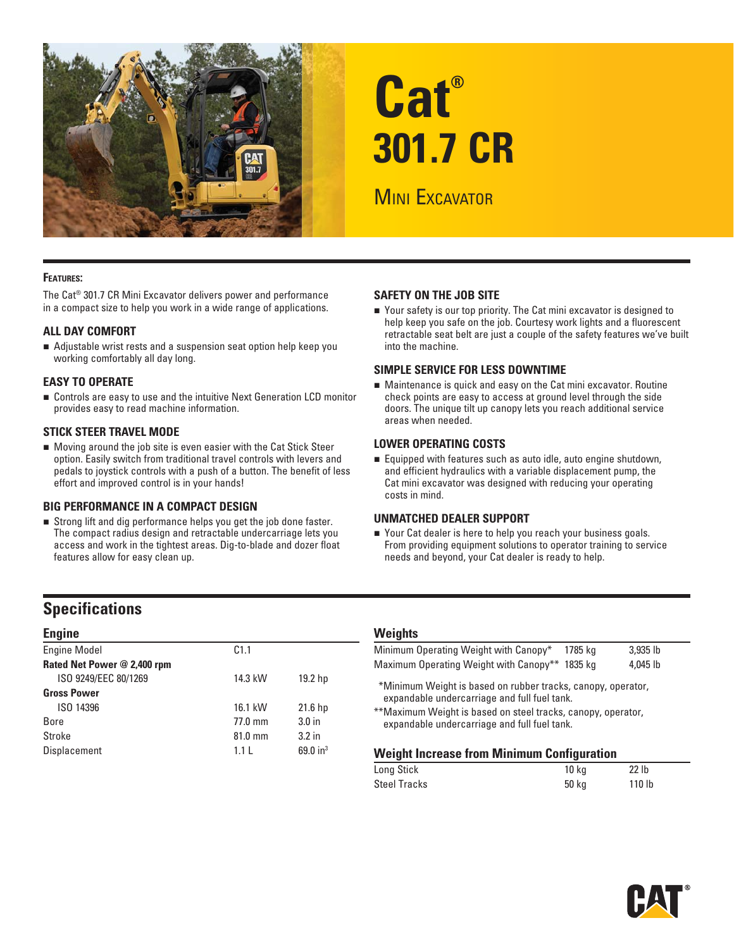

# **Cat® 301.7 CR**

**MINI EXCAVATOR** 

#### **FEATURES:**

The Cat® 301.7 CR Mini Excavator delivers power and performance in a compact size to help you work in a wide range of applications.

#### **ALL DAY COMFORT**

 Adjustable wrist rests and a suspension seat option help keep you working comfortably all day long.

#### **EASY TO OPERATE**

■ Controls are easy to use and the intuitive Next Generation LCD monitor provides easy to read machine information.

#### **STICK STEER TRAVEL MODE**

 Moving around the job site is even easier with the Cat Stick Steer option. Easily switch from traditional travel controls with levers and pedals to joystick controls with a push of a button. The benefit of less effort and improved control is in your hands!

#### **BIG PERFORMANCE IN A COMPACT DESIGN**

 Strong lift and dig performance helps you get the job done faster. The compact radius design and retractable undercarriage lets you access and work in the tightest areas. Dig-to-blade and dozer float features allow for easy clean up.

#### **SAFETY ON THE JOB SITE**

 Your safety is our top priority. The Cat mini excavator is designed to help keep you safe on the job. Courtesy work lights and a fluorescent retractable seat belt are just a couple of the safety features we've built into the machine.

#### **SIMPLE SERVICE FOR LESS DOWNTIME**

 Maintenance is quick and easy on the Cat mini excavator. Routine check points are easy to access at ground level through the side doors. The unique tilt up canopy lets you reach additional service areas when needed.

#### **LOWER OPERATING COSTS**

Equipped with features such as auto idle, auto engine shutdown, and efficient hydraulics with a variable displacement pump, the Cat mini excavator was designed with reducing your operating costs in mind.

#### **UNMATCHED DEALER SUPPORT**

■ Your Cat dealer is here to help you reach your business goals. From providing equipment solutions to operator training to service needs and beyond, your Cat dealer is ready to help.

## **Specifications**

| C <sub>1.1</sub> |                    |
|------------------|--------------------|
|                  |                    |
| 14.3 kW          | 19.2 hp            |
|                  |                    |
| 16.1 kW          | 21.6 <sub>hp</sub> |
| 77.0 mm          | 3.0 <sub>in</sub>  |
| 81.0 mm          | 3.2 <sub>in</sub>  |
| 1.1L             | 69.0 in $3$        |
|                  |                    |

### **Weights**

| Minimum Operating Weight with Canopy*                                                                                                                                                                                        | 1785 ka | 3,935 lb |  |  |  |  |  |  |  |  |
|------------------------------------------------------------------------------------------------------------------------------------------------------------------------------------------------------------------------------|---------|----------|--|--|--|--|--|--|--|--|
| Maximum Operating Weight with Canopy** 1835 kg                                                                                                                                                                               |         | 4.045 lb |  |  |  |  |  |  |  |  |
| *Minimum Weight is based on rubber tracks, canopy, operator,<br>expandable undercarriage and full fuel tank.<br>**Maximum Weight is based on steel tracks, canopy, operator,<br>expandable undercarriage and full fuel tank. |         |          |  |  |  |  |  |  |  |  |
| <b>Weight Increase from Minimum Configuration</b>                                                                                                                                                                            |         |          |  |  |  |  |  |  |  |  |

| Long Stick   | 10 kg | 22 lb             |
|--------------|-------|-------------------|
| Steel Tracks | 50 kg | 110 <sub>lb</sub> |

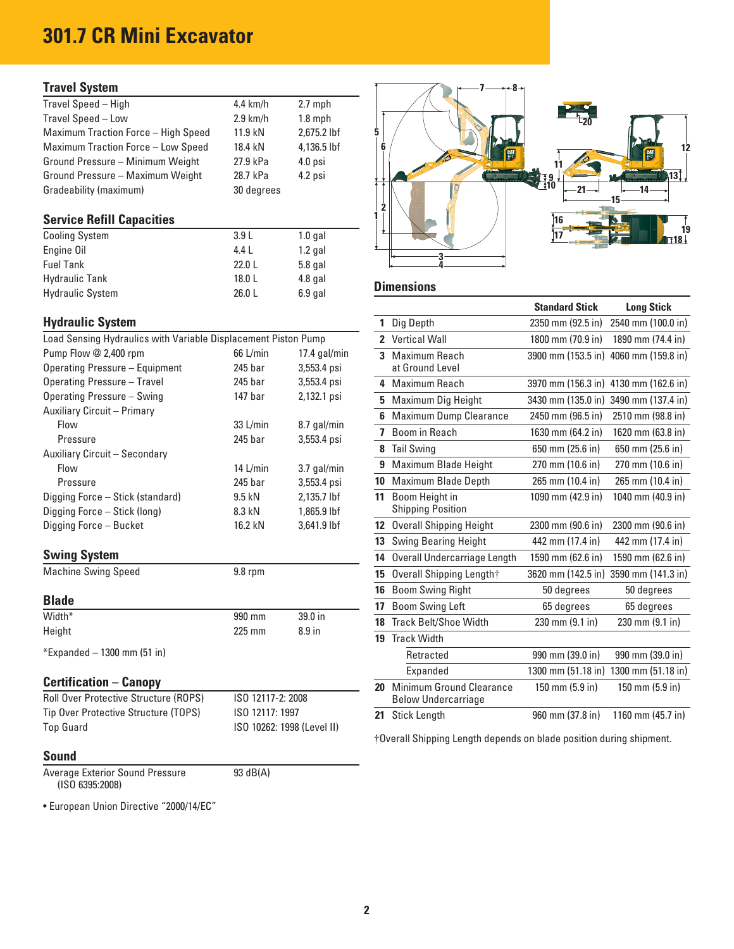# **301.7 CR Mini Excavator**

### **Travel System**

| Travel Speed - High                        | $4.4$ km/h | $2.7$ mph   |  |  |       |
|--------------------------------------------|------------|-------------|--|--|-------|
| Travel Speed - Low                         | $2.9$ km/h | $1.8$ mph   |  |  | $-20$ |
| <b>Maximum Traction Force - High Speed</b> | 11.9 kN    | 2.675.2 lbf |  |  |       |
| Maximum Traction Force - Low Speed         | 18.4 kN    | 4.136.5 lbf |  |  |       |
| Ground Pressure - Minimum Weight           | 27.9 kPa   | $4.0$ psi   |  |  |       |
| Ground Pressure - Maximum Weight           | 28.7 kPa   | $4.2$ psi   |  |  |       |
| Gradeability (maximum)                     | 30 degrees |             |  |  |       |

| <b>Cooling System</b>   | 3.9L   | $1.0$ gal |                   |
|-------------------------|--------|-----------|-------------------|
| Engine Oil              | 4.4 L  | $1.2$ gal |                   |
| <b>Fuel Tank</b>        | 22.0L  | $5.8$ gal |                   |
| <b>Hydraulic Tank</b>   | 18.0L  | $4.8$ gal |                   |
| <b>Hydraulic System</b> | 26.0 L | $6.9$ gal | <b>Dimensions</b> |

### **Hydraulic System**

| Load Sensing Hydraulics with Variable Displacement Piston Pump |                    |                | 2 Vertical Wall          |
|----------------------------------------------------------------|--------------------|----------------|--------------------------|
| Pump Flow @ 2,400 rpm                                          | 66 L/min           | $17.4$ gal/min | 3 Maximum Reach          |
| Operating Pressure - Equipment                                 | 245 bar            | 3,553.4 psi    | at Ground Level          |
| <b>Operating Pressure - Travel</b>                             | 245 bar            | 3,553.4 psi    | 4 Maximum Reach          |
| Operating Pressure - Swing                                     | 147 <sub>bar</sub> | 2,132.1 psi    | 5 Maximum Dig Hei        |
| <b>Auxiliary Circuit - Primary</b>                             |                    |                | 6 Maximum Dump C         |
| Flow                                                           | 33 L/min           | 8.7 gal/min    | 7 Boom in Reach          |
| Pressure                                                       | 245 bar            | 3,553.4 psi    |                          |
| Auxiliary Circuit - Secondary                                  |                    |                | 8 Tail Swing             |
| Flow                                                           | 14 $L/min$         | 3.7 gal/min    | 9 Maximum Blade H        |
| Pressure                                                       | 245 bar            | 3,553.4 psi    | 10 Maximum Blade D       |
| Digging Force - Stick (standard)                               | 9.5 kN             | 2,135.7 lbf    | 11 Boom Height in        |
| Digging Force - Stick (long)                                   | 8.3 kN             | 1,865.9 lbf    | <b>Shipping Position</b> |
| Digging Force - Bucket                                         | 16.2 kN            | 3,641.9 lbf    | 12 Overall Shipping H    |
|                                                                |                    |                | 13 Swing Bearing He      |
| <b>Swing System</b>                                            |                    |                | 14 Overall Undercarri    |
|                                                                |                    |                |                          |

| Width* | 990 mm   | $39.0$ in         |
|--------|----------|-------------------|
| Height | $225$ mm | 8.9 <sub>in</sub> |
|        |          |                   |

### **Certification – Canopy**

| <b>Roll Over Protective Structure (ROPS)</b> | ISO 12117-2: 2008          |  | Below Undercarriage                                              |  |  |  |                  |  |                             |
|----------------------------------------------|----------------------------|--|------------------------------------------------------------------|--|--|--|------------------|--|-----------------------------|
| Tip Over Protective Structure (TOPS)         | ISO 12117: 1997            |  | 21 Stick Length                                                  |  |  |  | 960 mm (37.8 in) |  | 1160 mm $(45.7 \text{ in})$ |
| <b>Top Guard</b>                             | ISO 10262: 1998 (Level II) |  | $\mathbf{u}$ $\mathbf{v}$ $\mathbf{v}$ $\mathbf{v}$ $\mathbf{v}$ |  |  |  |                  |  |                             |

#### **Sound**

Average Exterior Sound Pressure 93 dB(A) (ISO 6395:2008)

• European Union Directive "2000/14/EC"



|                                                                  |                    |                            |    |                                               | <b>Standard Stick</b>     | <b>Long Stick</b>                     |
|------------------------------------------------------------------|--------------------|----------------------------|----|-----------------------------------------------|---------------------------|---------------------------------------|
| <b>Hydraulic System</b>                                          |                    |                            | 1  | Dig Depth                                     | 2350 mm (92.5 in)         | 2540 mm (100.0 in)                    |
| Load Sensing Hydraulics with Variable Displacement Piston Pump   |                    |                            |    | 2 Vertical Wall                               | 1800 mm (70.9 in)         | 1890 mm (74.4 in)                     |
| Pump Flow @ 2,400 rpm                                            | 66 L/min           | 17.4 $g$ al/min            |    | 3 Maximum Reach                               |                           | 3900 mm (153.5 in) 4060 mm (159.8 in) |
| <b>Operating Pressure - Equipment</b>                            | 245 bar            | 3,553.4 psi                |    | at Ground Level                               |                           |                                       |
| <b>Operating Pressure - Travel</b>                               | 245 bar            | 3,553.4 psi                |    | 4 Maximum Reach                               |                           | 3970 mm (156.3 in) 4130 mm (162.6 in) |
| Operating Pressure - Swing                                       | 147 <sub>bar</sub> | 2,132.1 psi                |    | 5 Maximum Dig Height                          |                           | 3430 mm (135.0 in) 3490 mm (137.4 in) |
| Auxiliary Circuit – Primary                                      |                    |                            |    | 6 Maximum Dump Clearance                      | 2450 mm (96.5 in)         | 2510 mm (98.8 in)                     |
| Flow                                                             | $33$ L/min         | 8.7 gal/min                |    | 7 Boom in Reach                               | 1630 mm (64.2 in)         | 1620 mm (63.8 in)                     |
| Pressure                                                         | 245 bar            | 3,553.4 psi                |    | 8 Tail Swing                                  | 650 mm (25.6 in)          | 650 mm (25.6 in)                      |
| Auxiliary Circuit - Secondary<br>Flow                            | 14 $L/min$         | 3.7 gal/min                |    | 9 Maximum Blade Height                        | 270 mm (10.6 in)          | 270 mm (10.6 in)                      |
| Pressure                                                         | 245 bar            | 3,553.4 psi                |    | 10 Maximum Blade Depth                        | 265 mm (10.4 in)          | 265 mm (10.4 in)                      |
| Digging Force - Stick (standard)<br>Digging Force – Stick (long) | 9.5 kN<br>8.3 kN   | 2.135.7 lbf<br>1,865.9 lbf |    | 11 Boom Height in<br><b>Shipping Position</b> | 1090 mm (42.9 in)         | 1040 mm (40.9 in)                     |
| Digging Force – Bucket                                           | 16.2 kN            | 3,641.9 lbf                |    | 12 Overall Shipping Height                    | 2300 mm (90.6 in)         | 2300 mm (90.6 in)                     |
|                                                                  |                    |                            |    | <b>13</b> Swing Bearing Height                | 442 mm (17.4 in)          | 442 mm (17.4 in)                      |
| <b>Swing System</b>                                              |                    |                            | 14 | Overall Undercarriage Length                  | 1590 mm (62.6 in)         | 1590 mm (62.6 in)                     |
| <b>Machine Swing Speed</b>                                       | 9.8 rpm            |                            |    | 15 Overall Shipping Length†                   |                           | 3620 mm (142.5 in) 3590 mm (141.3 in) |
|                                                                  |                    |                            | 16 | <b>Boom Swing Right</b>                       | 50 degrees                | 50 degrees                            |
| <b>Blade</b>                                                     |                    |                            | 17 | <b>Boom Swing Left</b>                        | 65 degrees                | 65 degrees                            |
| Width*                                                           | 990 mm             | 39.0 in                    | 18 | <b>Track Belt/Shoe Width</b>                  | 230 mm (9.1 in)           | $230 \text{ mm} (9.1 \text{ in})$     |
| Height                                                           | 225 mm             | 8.9 in                     |    | 19 Track Width                                |                           |                                       |
| *Expanded – 1300 mm (51 in)                                      |                    |                            |    | Retracted                                     | 990 mm (39.0 in)          | 990 mm (39.0 in)                      |
|                                                                  |                    |                            |    | Expanded                                      |                           | 1300 mm (51.18 in) 1300 mm (51.18 in) |
| <b>Certification – Canopy</b>                                    |                    |                            | 20 | <b>Minimum Ground Clearance</b>               | $150 \text{ mm}$ (5.9 in) | $150 \text{ mm}$ (5.9 in)             |
| Roll Over Protective Structure (ROPS)                            | ISO 12117-2: 2008  |                            |    | <b>Below Undercarriage</b>                    |                           |                                       |
| Tip Over Protective Structure (TOPS)                             | ISO 12117: 1997    |                            | 21 | <b>Stick Length</b>                           | 960 mm (37.8 in)          | 1160 mm (45.7 in)                     |

† Overall Shipping Length depends on blade position during shipment.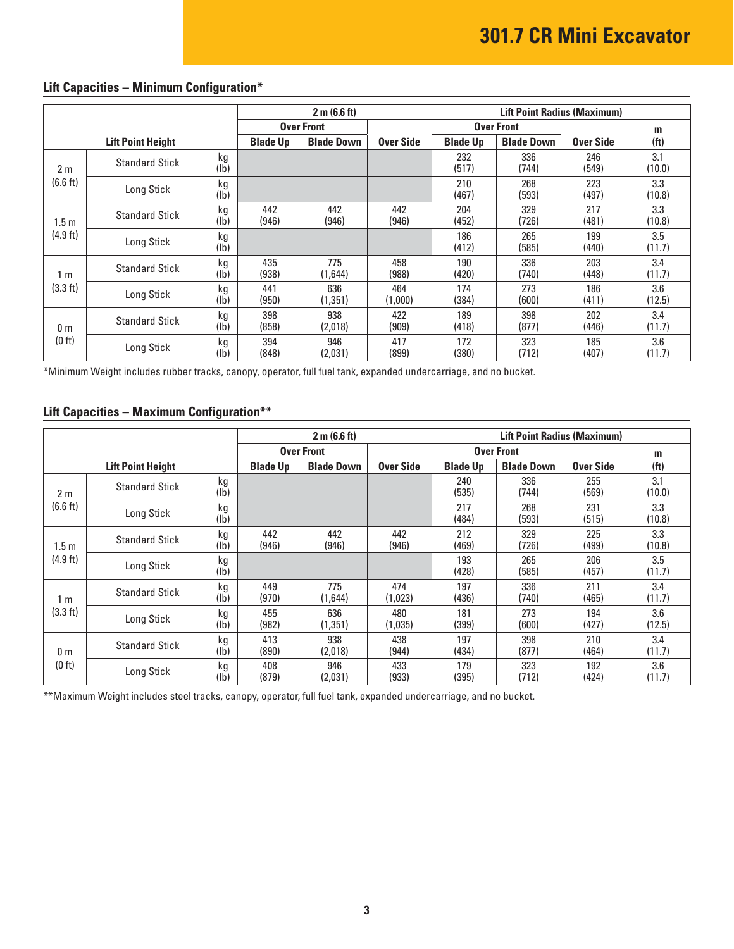|                  | 2 m (6.6 ft)<br><b>Lift Point Radius (Maximum)</b> |                       |                 |                   |                |                 |                   |              |                   |  |
|------------------|----------------------------------------------------|-----------------------|-----------------|-------------------|----------------|-----------------|-------------------|--------------|-------------------|--|
|                  | <b>Over Front</b>                                  |                       |                 |                   |                |                 | <b>Over Front</b> |              | m                 |  |
|                  | <b>Lift Point Height</b>                           |                       | <b>Blade Up</b> | <b>Blade Down</b> | Over Side      | <b>Blade Up</b> | <b>Blade Down</b> | Over Side    | (f <sup>t</sup> ) |  |
| 2 <sub>m</sub>   | <b>Standard Stick</b>                              | kg<br>(1b)            |                 |                   |                | 232<br>(517)    | 336<br>(744)      | 246<br>(549) | 3.1<br>(10.0)     |  |
| (6.6 ft)         | Long Stick                                         | kg<br>(Ib)            |                 |                   |                | 210<br>(467)    | 268<br>(593)      | 223<br>(497) | 3.3<br>(10.8)     |  |
| 1.5 <sub>m</sub> | <b>Standard Stick</b>                              | kg<br>(1b)            | 442<br>(946)    | 442<br>(946)      | 442<br>(946)   | 204<br>(452)    | 329<br>(726)      | 217<br>(481) | 3.3<br>(10.8)     |  |
| $(4.9$ ft)       | Long Stick                                         | kg<br>(1b)            |                 |                   |                | 186<br>(412)    | 265<br>(585)      | 199<br>(440) | 3.5<br>(11.7)     |  |
| 1 <sub>m</sub>   | <b>Standard Stick</b>                              | kg<br>(1b)            | 435<br>(938)    | 775<br>(1,644)    | 458<br>(988)   | 190<br>(420)    | 336<br>(740)      | 203<br>(448) | 3.4<br>(11.7)     |  |
| (3.3 ft)         | Long Stick                                         | kg<br>(lb)            | 441<br>(950)    | 636<br>(1,351)    | 464<br>(1,000) | 174<br>(384)    | 273<br>(600)      | 186<br>(411) | 3.6<br>(12.5)     |  |
| 0 <sub>m</sub>   | <b>Standard Stick</b>                              | kg<br>(1b)            | 398<br>(858)    | 938<br>(2,018)    | 422<br>(909)   | 189<br>(418)    | 398<br>(877)      | 202<br>(446) | 3.4<br>(11.7)     |  |
| (0 ft)           | Long Stick                                         | kg<br>$(\mathsf{lb})$ | 394<br>(848)    | 946<br>(2,031)    | 417<br>(899)   | 172<br>(380)    | 323<br>(712)      | 185<br>(407) | 3.6<br>(11.7)     |  |

# **Lift Capacities – Minimum Configuration\***

\*Minimum Weight includes rubber tracks, canopy, operator, full fuel tank, expanded undercarriage, and no bucket.

### **Lift Capacities – Maximum Configuration\*\***

|                  |                          |                       |                   | 2 m (6.6 ft)      |                | <b>Lift Point Radius (Maximum)</b> |                   |              |                   |
|------------------|--------------------------|-----------------------|-------------------|-------------------|----------------|------------------------------------|-------------------|--------------|-------------------|
|                  |                          |                       | <b>Over Front</b> |                   |                |                                    | <b>Over Front</b> |              | m                 |
|                  | <b>Lift Point Height</b> |                       | <b>Blade Up</b>   | <b>Blade Down</b> | Over Side      | <b>Blade Up</b>                    | <b>Blade Down</b> | Over Side    | (f <sup>t</sup> ) |
| 2 <sub>m</sub>   | <b>Standard Stick</b>    | kg<br>$(\mathsf{lb})$ |                   |                   |                | 240<br>(535)                       | 336<br>(744)      | 255<br>(569) | 3.1<br>(10.0)     |
| (6.6 ft)         | Long Stick               | kg<br>(1b)            |                   |                   |                | 217<br>(484)                       | 268<br>(593)      | 231<br>(515) | 3.3<br>(10.8)     |
| 1.5 <sub>m</sub> | <b>Standard Stick</b>    | kg<br>(lb)            | 442<br>(946)      | 442<br>(946)      | 442<br>(946)   | 212<br>(469)                       | 329<br>(726)      | 225<br>(499) | 3.3<br>(10.8)     |
| (4.9 ft)         | Long Stick               | kg<br>(lb)            |                   |                   |                | 193<br>(428)                       | 265<br>(585)      | 206<br>(457) | 3.5<br>(11.7)     |
| 1 m              | <b>Standard Stick</b>    | kg<br>(lb)            | 449<br>(970)      | 775<br>(1,644)    | 474<br>(1,023) | 197<br>(436)                       | 336<br>(740)      | 211<br>(465) | 3.4<br>(11.7)     |
| (3.3 ft)         | Long Stick               | kg<br>$(\mathsf{lb})$ | 455<br>(982)      | 636<br>(1,351)    | 480<br>(1,035) | 181<br>(399)                       | 273<br>(600)      | 194<br>(427) | 3.6<br>(12.5)     |
| 0 <sub>m</sub>   | <b>Standard Stick</b>    | kg<br>$(\mathsf{lb})$ | 413<br>(890)      | 938<br>(2,018)    | 438<br>(944)   | 197<br>(434)                       | 398<br>(877)      | 210<br>(464) | 3.4<br>(11.7)     |
| (0 ft)           | Long Stick               | kg<br>(lb)            | 408<br>(879)      | 946<br>(2.031)    | 433<br>(933)   | 179<br>(395)                       | 323<br>(712)      | 192<br>(424) | 3.6<br>(11.7)     |

\*\* Maximum Weight includes steel tracks, canopy, operator, full fuel tank, expanded undercarriage, and no bucket.